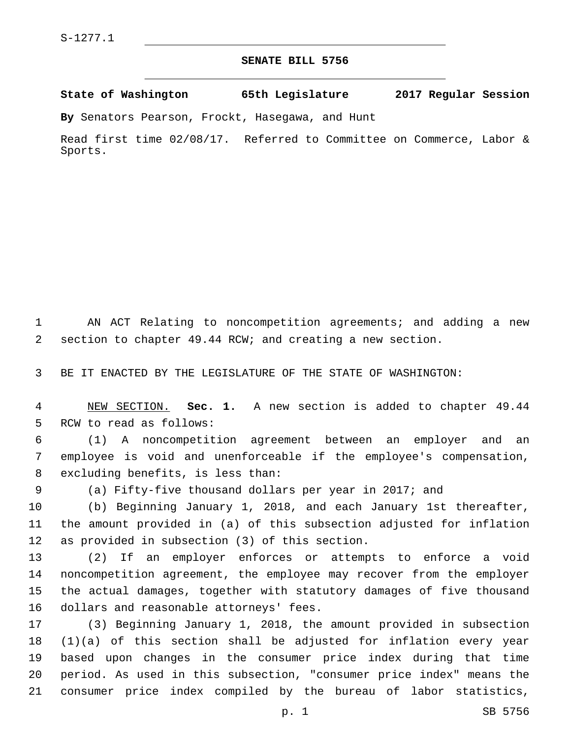## **SENATE BILL 5756**

**State of Washington 65th Legislature 2017 Regular Session**

**By** Senators Pearson, Frockt, Hasegawa, and Hunt

Read first time 02/08/17. Referred to Committee on Commerce, Labor & Sports.

 AN ACT Relating to noncompetition agreements; and adding a new section to chapter 49.44 RCW; and creating a new section.

BE IT ENACTED BY THE LEGISLATURE OF THE STATE OF WASHINGTON:

 NEW SECTION. **Sec. 1.** A new section is added to chapter 49.44 5 RCW to read as follows:

 (1) A noncompetition agreement between an employer and an employee is void and unenforceable if the employee's compensation, 8 excluding benefits, is less than:

(a) Fifty-five thousand dollars per year in 2017; and

 (b) Beginning January 1, 2018, and each January 1st thereafter, the amount provided in (a) of this subsection adjusted for inflation 12 as provided in subsection  $(3)$  of this section.

 (2) If an employer enforces or attempts to enforce a void noncompetition agreement, the employee may recover from the employer the actual damages, together with statutory damages of five thousand 16 dollars and reasonable attorneys' fees.

 (3) Beginning January 1, 2018, the amount provided in subsection (1)(a) of this section shall be adjusted for inflation every year based upon changes in the consumer price index during that time period. As used in this subsection, "consumer price index" means the consumer price index compiled by the bureau of labor statistics,